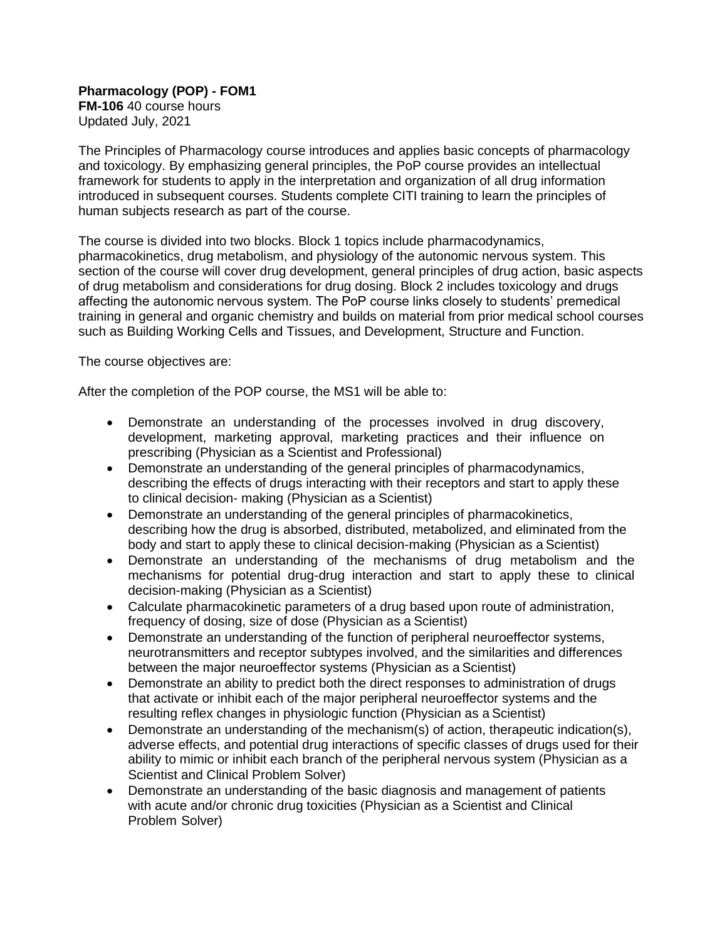**Pharmacology (POP) - FOM1 FM-106** 40 course hours Updated July, 2021

The Principles of Pharmacology course introduces and applies basic concepts of pharmacology and toxicology. By emphasizing general principles, the PoP course provides an intellectual framework for students to apply in the interpretation and organization of all drug information introduced in subsequent courses. Students complete CITI training to learn the principles of human subjects research as part of the course.

The course is divided into two blocks. Block 1 topics include pharmacodynamics, pharmacokinetics, drug metabolism, and physiology of the autonomic nervous system. This section of the course will cover drug development, general principles of drug action, basic aspects of drug metabolism and considerations for drug dosing. Block 2 includes toxicology and drugs affecting the autonomic nervous system. The PoP course links closely to students' premedical training in general and organic chemistry and builds on material from prior medical school courses such as Building Working Cells and Tissues, and Development, Structure and Function.

The course objectives are:

After the completion of the POP course, the MS1 will be able to:

- Demonstrate an understanding of the processes involved in drug discovery, development, marketing approval, marketing practices and their influence on prescribing (Physician as a Scientist and Professional)
- Demonstrate an understanding of the general principles of pharmacodynamics, describing the effects of drugs interacting with their receptors and start to apply these to clinical decision- making (Physician as a Scientist)
- Demonstrate an understanding of the general principles of pharmacokinetics, describing how the drug is absorbed, distributed, metabolized, and eliminated from the body and start to apply these to clinical decision-making (Physician as a Scientist)
- Demonstrate an understanding of the mechanisms of drug metabolism and the mechanisms for potential drug-drug interaction and start to apply these to clinical decision-making (Physician as a Scientist)
- Calculate pharmacokinetic parameters of a drug based upon route of administration, frequency of dosing, size of dose (Physician as a Scientist)
- Demonstrate an understanding of the function of peripheral neuroeffector systems, neurotransmitters and receptor subtypes involved, and the similarities and differences between the major neuroeffector systems (Physician as a Scientist)
- Demonstrate an ability to predict both the direct responses to administration of drugs that activate or inhibit each of the major peripheral neuroeffector systems and the resulting reflex changes in physiologic function (Physician as a Scientist)
- Demonstrate an understanding of the mechanism(s) of action, therapeutic indication(s), adverse effects, and potential drug interactions of specific classes of drugs used for their ability to mimic or inhibit each branch of the peripheral nervous system (Physician as a Scientist and Clinical Problem Solver)
- Demonstrate an understanding of the basic diagnosis and management of patients with acute and/or chronic drug toxicities (Physician as a Scientist and Clinical Problem Solver)